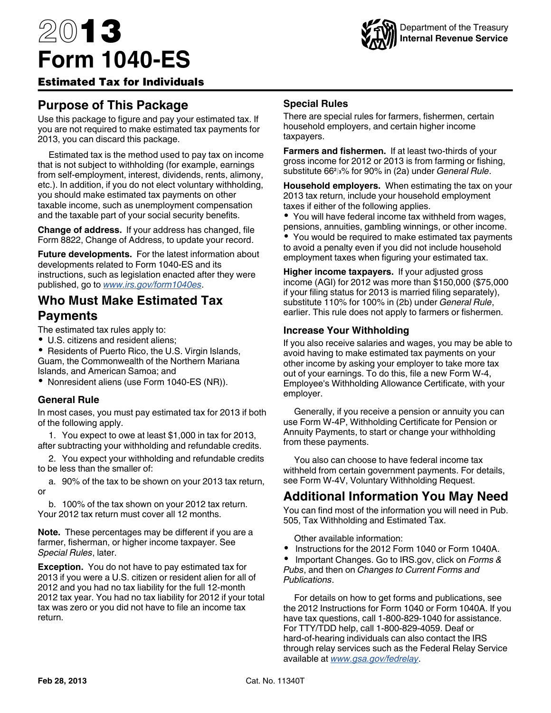# 2013 **Form 1040-ES**



#### Estimated Tax for Individuals

## **Purpose of This Package**

Use this package to figure and pay your estimated tax. If you are not required to make estimated tax payments for 2013, you can discard this package.

Estimated tax is the method used to pay tax on income that is not subject to withholding (for example, earnings from self-employment, interest, dividends, rents, alimony, etc.). In addition, if you do not elect voluntary withholding, you should make estimated tax payments on other taxable income, such as unemployment compensation and the taxable part of your social security benefits.

**Change of address.** If your address has changed, file Form 8822, Change of Address, to update your record.

**Future developments.** For the latest information about developments related to Form 1040-ES and its instructions, such as legislation enacted after they were published, go to *[www.irs.gov/form1040es](http://www.irs.gov/uac/Form-1040-ES,-Estimated-Tax-for-Individuals-1)*.

## **Who Must Make Estimated Tax Payments**

The estimated tax rules apply to:

U.S. citizens and resident aliens;

• Residents of Puerto Rico, the U.S. Virgin Islands, Guam, the Commonwealth of the Northern Mariana Islands, and American Samoa; and

Nonresident aliens (use Form 1040-ES (NR)).

#### **General Rule**

In most cases, you must pay estimated tax for 2013 if both of the following apply.

1. You expect to owe at least \$1,000 in tax for 2013, after subtracting your withholding and refundable credits.

2. You expect your withholding and refundable credits to be less than the smaller of:

a. 90% of the tax to be shown on your 2013 tax return, or

b. 100% of the tax shown on your 2012 tax return. Your 2012 tax return must cover all 12 months.

**Note.** These percentages may be different if you are a farmer, fisherman, or higher income taxpayer. See *Special Rules*, later.

**Exception.** You do not have to pay estimated tax for 2013 if you were a U.S. citizen or resident alien for all of 2012 and you had no tax liability for the full 12-month 2012 tax year. You had no tax liability for 2012 if your total tax was zero or you did not have to file an income tax return.

#### **Special Rules**

There are special rules for farmers, fishermen, certain household employers, and certain higher income taxpayers.

**Farmers and fishermen.** If at least two-thirds of your gross income for 2012 or 2013 is from farming or fishing, substitute 66**<sup>2</sup> <sup>3</sup>**% for 90% in (2a) under *General Rule*.

**Household employers.** When estimating the tax on your 2013 tax return, include your household employment taxes if either of the following applies.

You will have federal income tax withheld from wages, pensions, annuities, gambling winnings, or other income.

You would be required to make estimated tax payments to avoid a penalty even if you did not include household employment taxes when figuring your estimated tax.

**Higher income taxpayers.** If your adjusted gross income (AGI) for 2012 was more than \$150,000 (\$75,000 if your filing status for 2013 is married filing separately), substitute 110% for 100% in (2b) under *General Rule*, earlier. This rule does not apply to farmers or fishermen.

#### **Increase Your Withholding**

If you also receive salaries and wages, you may be able to avoid having to make estimated tax payments on your other income by asking your employer to take more tax out of your earnings. To do this, file a new Form W-4, Employee's Withholding Allowance Certificate, with your employer.

Generally, if you receive a pension or annuity you can use Form W-4P, Withholding Certificate for Pension or Annuity Payments, to start or change your withholding from these payments.

You also can choose to have federal income tax withheld from certain government payments. For details, see Form W-4V, Voluntary Withholding Request.

## **Additional Information You May Need**

You can find most of the information you will need in Pub. 505, Tax Withholding and Estimated Tax.

Other available information:

Instructions for the 2012 Form 1040 or Form 1040A.

 Important Changes. Go to IRS.gov, click on *Forms & Pubs*, and then on *Changes to Current Forms and Publications*.

For details on how to get forms and publications, see the 2012 Instructions for Form 1040 or Form 1040A. If you have tax questions, call 1-800-829-1040 for assistance. For TTY/TDD help, call 1-800-829-4059. Deaf or hard-of-hearing individuals can also contact the IRS through relay services such as the Federal Relay Service available at *[www.gsa.gov/fedrelay](http://www.gsa.gov/fedrelay)*.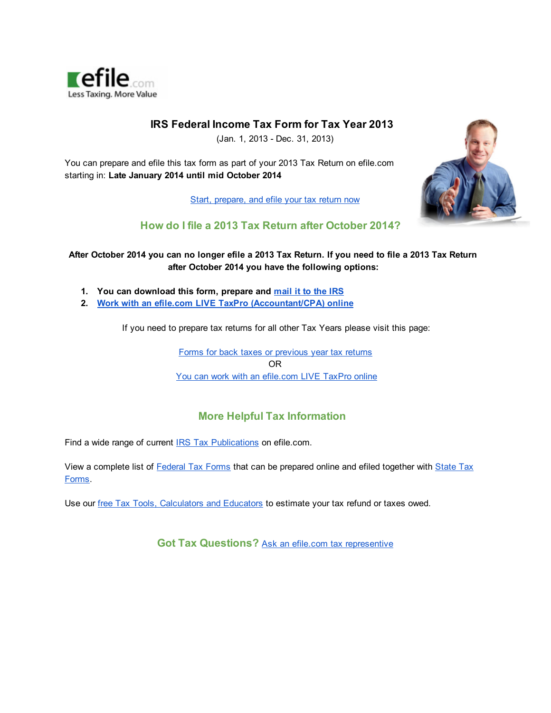

#### **IRS Federal Income Tax Form for Tax Year 2013**

(Jan. 1, 2013 - Dec. 31, 2013)

You can prepare and efile this tax form as part of your 2013 Tax Return on efile.com starting in: **Late January 2014 until mid October 2014**

Start, [prepare,](http://www.google.com/url?q=http%3A%2F%2Fwww.efile.com%2F&sa=D&sntz=1&usg=AFQjCNEtf2g4R0ZX74_MjpChAEiKPj_yMg) and efile your tax return now



#### **How do I file a 2013 Tax Return after October 2014?**

#### After October 2014 you can no longer efile a 2013 Tax [Return.](http://www.google.com/url?q=http%3A%2F%2Fwww.efile.com%2Fwhere-to-mail-tax-return-form-irs-mailing-address-for-refund%2F&sa=D&sntz=1&usg=AFQjCNGVeFZ9_a-DUQLfnvbUkEwTnQF6nQ) If you need to file a 2013 Tax Return **after October 2014 you have the following options:**

- **1. You can [download](http://www.google.com/url?q=http%3A%2F%2Fwww.efile.com%2Fwhere-to-mail-tax-return-form-irs-mailing-address-for-refund%2F&sa=D&sntz=1&usg=AFQjCNGVeFZ9_a-DUQLfnvbUkEwTnQF6nQ) this form, prepare and [mail](http://www.google.com/url?q=http%3A%2F%2Fwww.efile.com%2Fwhere-to-mail-tax-return-form-irs-mailing-address-for-refund%2F&sa=D&sntz=1&usg=AFQjCNGVeFZ9_a-DUQLfnvbUkEwTnQF6nQ) it to the IRS**
- **2. Work with an efile.com LIVE TaxPro [\(Accountant/CPA\)](http://www.google.com/url?q=http%3A%2F%2Fwww.efile.com%2Ftax-preparer%2Fstart-working-with-a-tax-pro%2F&sa=D&sntz=1&usg=AFQjCNF6kk1hYx8ZcZmEUuqzQA3I8DNRvw) online**

If you need to prepare tax returns for all other Tax Years please visit this page:

Forms for back taxes or [previous](http://www.google.com/url?q=http%3A%2F%2Fwww.efile.com%2Ffederal-income-tax-return-forms-prior-past-previous-irs-years%2F&sa=D&sntz=1&usg=AFQjCNGkwRZuw4htdce33XxCbysj9teXaA) year tax returns OR You can work with an [efile.com](http://www.google.com/url?q=http%3A%2F%2Fwww.efile.com%2Ftax-preparer%2Fstart-working-with-a-tax-pro%2F&sa=D&sntz=1&usg=AFQjCNF6kk1hYx8ZcZmEUuqzQA3I8DNRvw) LIVE TaxPro online

#### **More Helpful Tax Information**

Find a wide range of current [I](http://www.google.com/url?q=http%3A%2F%2Fwww.efile.com%2Firs-publication%2Firs-publications%2F&sa=D&sntz=1&usg=AFQjCNFhxTPrw59W3uYdiESEE7s6iKIQHQ)RS Tax [Publications](http://www.google.com/url?q=http%3A%2F%2Fwww.efile.com%2Firs-publication%2Firs-publications%2F&sa=D&sntz=1&usg=AFQjCNFhxTPrw59W3uYdiESEE7s6iKIQHQ) on efile.com.

View a complete list of [Federal](http://www.google.com/url?q=http%3A%2F%2Fwww.efile.com%2Fefile%2Ffile-taxes-online%2F&sa=D&sntz=1&usg=AFQjCNE2WaP5Q5hD4ZJ4OcHwLoAOSqH-Pg) Tax Forms that can be prepared online and efiled together with [State](http://www.google.com/url?q=http%3A%2F%2Fwww.efile.com%2Fstate-tax%2Fstate-income-tax%2F&sa=D&sntz=1&usg=AFQjCNFz76g0WBvqbPhrHHFraJQ6RpMorQ) Tax [Forms.](http://www.google.com/url?q=http%3A%2F%2Fwww.efile.com%2Fstate-tax%2Fstate-income-tax%2F&sa=D&sntz=1&usg=AFQjCNFz76g0WBvqbPhrHHFraJQ6RpMorQ)

Use our free Tax Tools, [Calculators](http://www.google.com/url?q=http%3A%2F%2Fwww.efile.com%2Ftax-estimate-calculation-free-help-advice-app-tools%2F&sa=D&sntz=1&usg=AFQjCNEm2w76lcibtCXddhoEswfbMW4SyA) and Educators to estimate your tax refund or taxes owed.

**Got Tax Questions?** Ask an efile.com tax [representive](https://www.google.com/url?q=https%3A%2F%2Fwww.efile.com%2Ftax-service%2Fcontact%2Fefile-contact%2F&sa=D&sntz=1&usg=AFQjCNFTxgvL6sN3DEmUNTkho6iW5Hslmg)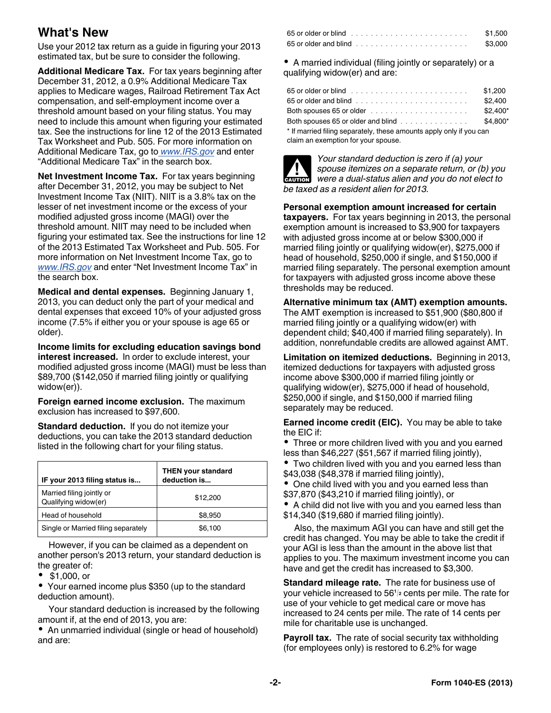## **What's New**

Use your 2012 tax return as a guide in figuring your 2013 estimated tax, but be sure to consider the following.

**Additional Medicare Tax.** For tax years beginning after December 31, 2012, a 0.9% Additional Medicare Tax applies to Medicare wages, Railroad Retirement Tax Act compensation, and self-employment income over a threshold amount based on your filing status. You may need to include this amount when figuring your estimated tax. See the instructions for line 12 of the 2013 Estimated Tax Worksheet and Pub. 505. For more information on Additional Medicare Tax, go to *[www.IRS.gov](http://www.irs.gov)* and enter "Additional Medicare Tax" in the search box.

**Net Investment Income Tax.** For tax years beginning after December 31, 2012, you may be subject to Net Investment Income Tax (NIIT). NIIT is a 3.8% tax on the lesser of net investment income or the excess of your modified adjusted gross income (MAGI) over the threshold amount. NIIT may need to be included when figuring your estimated tax. See the instructions for line 12 of the 2013 Estimated Tax Worksheet and Pub. 505. For more information on Net Investment Income Tax, go to *[www.IRS.gov](http://www.irs.gov)* and enter "Net Investment Income Tax" in the search box.

**Medical and dental expenses.** Beginning January 1, 2013, you can deduct only the part of your medical and dental expenses that exceed 10% of your adjusted gross income (7.5% if either you or your spouse is age 65 or older).

**Income limits for excluding education savings bond interest increased.** In order to exclude interest, your modified adjusted gross income (MAGI) must be less than \$89,700 (\$142,050 if married filing jointly or qualifying widow(er)).

**Foreign earned income exclusion.** The maximum exclusion has increased to \$97,600.

**Standard deduction.** If you do not itemize your deductions, you can take the 2013 standard deduction listed in the following chart for your filing status.

| IF your 2013 filing status is                     | <b>THEN your standard</b><br>deduction is |
|---------------------------------------------------|-------------------------------------------|
| Married filing jointly or<br>Qualifying widow(er) | \$12,200                                  |
| Head of household                                 | \$8.950                                   |
| Single or Married filing separately               | \$6,100                                   |

However, if you can be claimed as a dependent on another person's 2013 return, your standard deduction is the greater of:

\$1,000, or

Your earned income plus \$350 (up to the standard deduction amount).

Your standard deduction is increased by the following amount if, at the end of 2013, you are:

An unmarried individual (single or head of household) and are:

| 65 or older or blind ,,,,,,,,,,,,,,,,,,,,, | \$1.500 |
|--------------------------------------------|---------|
|                                            | \$3,000 |

A married individual (filing jointly or separately) or a qualifying widow(er) and are:

|                                                                             | \$1,200   |
|-----------------------------------------------------------------------------|-----------|
|                                                                             | \$2.400   |
| Both spouses 65 or older $\ldots \ldots \ldots \ldots \ldots \ldots \ldots$ | $$2.400*$ |
| Both spouses 65 or older and blind $\ldots$ , $\ldots$ , $\ldots$           | \$4.800*  |
| * If married filing separately, these amounts apply only if you can         |           |
| claim an exemption for your spouse.                                         |           |



*Your standard deduction is zero if (a) your spouse itemizes on a separate return, or (b) you were a dual-status alien and you do not elect to*  **CAUTION** *be taxed as a resident alien for 2013.*

**Personal exemption amount increased for certain taxpayers.** For tax years beginning in 2013, the personal exemption amount is increased to \$3,900 for taxpayers with adjusted gross income at or below \$300,000 if married filing jointly or qualifying widow(er), \$275,000 if head of household, \$250,000 if single, and \$150,000 if married filing separately. The personal exemption amount for taxpayers with adjusted gross income above these thresholds may be reduced.

**Alternative minimum tax (AMT) exemption amounts.**  The AMT exemption is increased to \$51,900 (\$80,800 if married filing jointly or a qualifying widow(er) with dependent child; \$40,400 if married filing separately). In addition, nonrefundable credits are allowed against AMT.

**Limitation on itemized deductions.** Beginning in 2013, itemized deductions for taxpayers with adjusted gross income above \$300,000 if married filing jointly or qualifying widow(er), \$275,000 if head of household, \$250,000 if single, and \$150,000 if married filing separately may be reduced.

**Earned income credit (EIC).** You may be able to take the EIC if:

Three or more children lived with you and you earned less than \$46,227 (\$51,567 if married filing jointly),

Two children lived with you and you earned less than \$43,038 (\$48,378 if married filing jointly),

• One child lived with you and you earned less than \$37,870 (\$43,210 if married filing jointly), or

A child did not live with you and you earned less than \$14,340 (\$19,680 if married filing jointly).

Also, the maximum AGI you can have and still get the credit has changed. You may be able to take the credit if your AGI is less than the amount in the above list that applies to you. The maximum investment income you can have and get the credit has increased to \$3,300.

**Standard mileage rate.** The rate for business use of your vehicle increased to 56**<sup>1</sup> <sup>2</sup>** cents per mile. The rate for use of your vehicle to get medical care or move has increased to 24 cents per mile. The rate of 14 cents per mile for charitable use is unchanged.

**Payroll tax.** The rate of social security tax withholding (for employees only) is restored to 6.2% for wage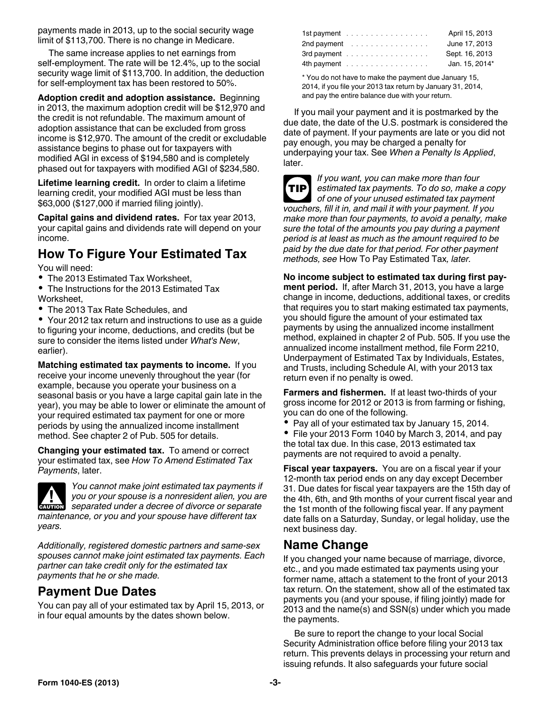payments made in 2013, up to the social security wage limit of \$113,700. There is no change in Medicare.

The same increase applies to net earnings from self-employment. The rate will be 12.4%, up to the social security wage limit of \$113,700. In addition, the deduction for self-employment tax has been restored to 50%.

**Adoption credit and adoption assistance.** Beginning in 2013, the maximum adoption credit will be \$12,970 and the credit is not refundable. The maximum amount of adoption assistance that can be excluded from gross income is \$12,970. The amount of the credit or excludable assistance begins to phase out for taxpayers with modified AGI in excess of \$194,580 and is completely phased out for taxpayers with modified AGI of \$234,580.

**Lifetime learning credit.** In order to claim a lifetime learning credit, your modified AGI must be less than \$63,000 (\$127,000 if married filing jointly).

**Capital gains and dividend rates.** For tax year 2013, your capital gains and dividends rate will depend on your income.

## **How To Figure Your Estimated Tax**

You will need:

- The 2013 Estimated Tax Worksheet,
- The Instructions for the 2013 Estimated Tax Worksheet,
- The 2013 Tax Rate Schedules, and

Your 2012 tax return and instructions to use as a guide to figuring your income, deductions, and credits (but be sure to consider the items listed under *What's New*, earlier).

**Matching estimated tax payments to income.** If you receive your income unevenly throughout the year (for example, because you operate your business on a seasonal basis or you have a large capital gain late in the year), you may be able to lower or eliminate the amount of your required estimated tax payment for one or more periods by using the annualized income installment method. See chapter 2 of Pub. 505 for details.

**Changing your estimated tax.** To amend or correct your estimated tax, see *How To Amend Estimated Tax Payments*, later.



*You cannot make joint estimated tax payments if you or your spouse is a nonresident alien, you are*  **z** you or your spouse is a nonresident alien, you are **CAUTION** separated under a decree of divorce or separate *maintenance, or you and your spouse have different tax years.*

*Additionally, registered domestic partners and same-sex spouses cannot make joint estimated tax payments. Each partner can take credit only for the estimated tax payments that he or she made.*

## **Payment Due Dates**

You can pay all of your estimated tax by April 15, 2013, or in four equal amounts by the dates shown below.

| 1st payment | April 15, 2013 |
|-------------|----------------|
| 2nd payment | June 17, 2013  |
| 3rd payment | Sept. 16, 2013 |
| 4th payment | Jan. 15, 2014* |

\* You do not have to make the payment due January 15, 2014, if you file your 2013 tax return by January 31, 2014, and pay the entire balance due with your return.

If you mail your payment and it is postmarked by the due date, the date of the U.S. postmark is considered the date of payment. If your payments are late or you did not pay enough, you may be charged a penalty for underpaying your tax. See *When a Penalty Is Applied*, later.

**TIP**

*If you want, you can make more than four estimated tax payments. To do so, make a copy of one of your unused estimated tax payment vouchers, fill it in, and mail it with your payment. If you make more than four payments, to avoid a penalty, make sure the total of the amounts you pay during a payment period is at least as much as the amount required to be paid by the due date for that period. For other payment methods, see* How To Pay Estimated Tax*, later.*

**No income subject to estimated tax during first payment period.** If, after March 31, 2013, you have a large change in income, deductions, additional taxes, or credits that requires you to start making estimated tax payments, you should figure the amount of your estimated tax payments by using the annualized income installment method, explained in chapter 2 of Pub. 505. If you use the annualized income installment method, file Form 2210, Underpayment of Estimated Tax by Individuals, Estates, and Trusts, including Schedule AI, with your 2013 tax return even if no penalty is owed.

**Farmers and fishermen.** If at least two-thirds of your gross income for 2012 or 2013 is from farming or fishing, you can do one of the following.

- Pay all of your estimated tax by January 15, 2014.
- $\bullet$ File your 2013 Form 1040 by March 3, 2014, and pay the total tax due. In this case, 2013 estimated tax payments are not required to avoid a penalty.

**Fiscal year taxpayers.** You are on a fiscal year if your 12-month tax period ends on any day except December 31. Due dates for fiscal year taxpayers are the 15th day of the 4th, 6th, and 9th months of your current fiscal year and the 1st month of the following fiscal year. If any payment date falls on a Saturday, Sunday, or legal holiday, use the next business day.

## **Name Change**

If you changed your name because of marriage, divorce, etc., and you made estimated tax payments using your former name, attach a statement to the front of your 2013 tax return. On the statement, show all of the estimated tax payments you (and your spouse, if filing jointly) made for 2013 and the name(s) and SSN(s) under which you made the payments.

Be sure to report the change to your local Social Security Administration office before filing your 2013 tax return. This prevents delays in processing your return and issuing refunds. It also safeguards your future social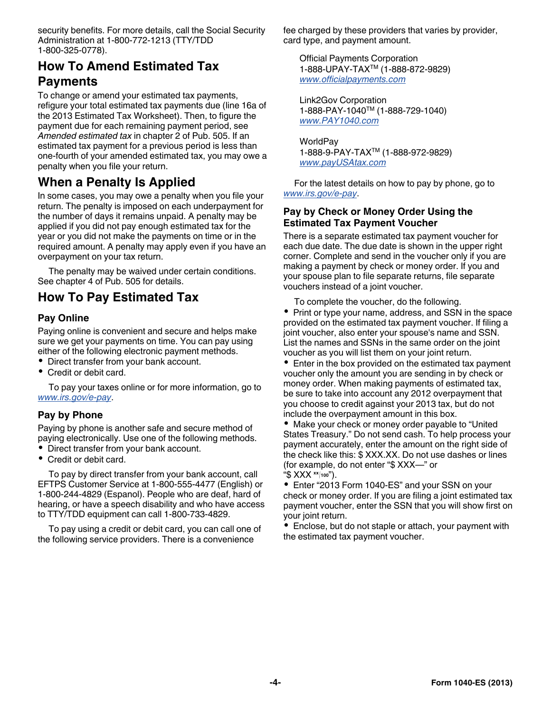security benefits. For more details, call the Social Security Administration at 1-800-772-1213 (TTY/TDD 1-800-325-0778).

## **How To Amend Estimated Tax Payments**

To change or amend your estimated tax payments, refigure your total estimated tax payments due (line 16a of the 2013 Estimated Tax Worksheet). Then, to figure the payment due for each remaining payment period, see *Amended estimated tax* in chapter 2 of Pub. 505. If an estimated tax payment for a previous period is less than one-fourth of your amended estimated tax, you may owe a penalty when you file your return.

## **When a Penalty Is Applied**

In some cases, you may owe a penalty when you file your return. The penalty is imposed on each underpayment for the number of days it remains unpaid. A penalty may be applied if you did not pay enough estimated tax for the year or you did not make the payments on time or in the required amount. A penalty may apply even if you have an overpayment on your tax return.

The penalty may be waived under certain conditions. See chapter 4 of Pub. 505 for details.

## **How To Pay Estimated Tax**

#### **Pay Online**

Paying online is convenient and secure and helps make sure we get your payments on time. You can pay using either of the following electronic payment methods.

- Direct transfer from your bank account.
- Credit or debit card.

To pay your taxes online or for more information, go to *[www.irs.gov/e-pay](http://www.irs.gov/e-pay)*.

#### **Pay by Phone**

Paying by phone is another safe and secure method of paying electronically. Use one of the following methods.

- Direct transfer from your bank account.
- Credit or debit card.

To pay by direct transfer from your bank account, call EFTPS Customer Service at 1-800-555-4477 (English) or 1-800-244-4829 (Espanol). People who are deaf, hard of hearing, or have a speech disability and who have access to TTY/TDD equipment can call 1-800-733-4829.

To pay using a credit or debit card, you can call one of the following service providers. There is a convenience

fee charged by these providers that varies by provider, card type, and payment amount.

Official Payments Corporation 1-888-UPAY-TAXTM (1-888-872-9829) *[www.officialpayments.com](http://www.officialpayments.com)*

Link2Gov Corporation 1-888-PAY-1040TM (1-888-729-1040) *[www.PAY1040.com](http://www.PAY1040.com)*

WorldPay 1-888-9-PAY-TAXTM (1-888-972-9829) *[www.payUSAtax.com](http://www.payUSAtax.com)*

For the latest details on how to pay by phone, go to *[www.irs.gov/e-pay](http://www.irs.gov/e-pay)*.

#### **Pay by Check or Money Order Using the Estimated Tax Payment Voucher**

There is a separate estimated tax payment voucher for each due date. The due date is shown in the upper right corner. Complete and send in the voucher only if you are making a payment by check or money order. If you and your spouse plan to file separate returns, file separate vouchers instead of a joint voucher.

To complete the voucher, do the following.

• Print or type your name, address, and SSN in the space provided on the estimated tax payment voucher. If filing a joint voucher, also enter your spouse's name and SSN. List the names and SSNs in the same order on the joint voucher as you will list them on your joint return.

• Enter in the box provided on the estimated tax payment voucher only the amount you are sending in by check or money order. When making payments of estimated tax, be sure to take into account any 2012 overpayment that you choose to credit against your 2013 tax, but do not include the overpayment amount in this box.

Make your check or money order payable to "United States Treasury." Do not send cash. To help process your payment accurately, enter the amount on the right side of the check like this: \$ XXX.XX. Do not use dashes or lines (for example, do not enter "\$ XXX—" or "\$ XXX **xx <sup>100</sup>**").

Enter "2013 Form 1040-ES" and your SSN on your check or money order. If you are filing a joint estimated tax payment voucher, enter the SSN that you will show first on your joint return.

• Enclose, but do not staple or attach, your payment with the estimated tax payment voucher.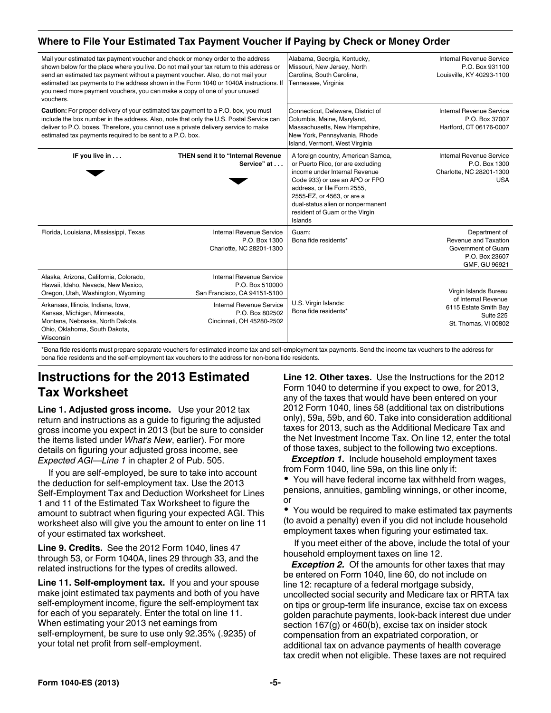#### **Where to File Your Estimated Tax Payment Voucher if Paying by Check or Money Order**

| Mail your estimated tax payment voucher and check or money order to the address<br>shown below for the place where you live. Do not mail your tax return to this address or<br>send an estimated tax payment without a payment voucher. Also, do not mail your<br>estimated tax payments to the address shown in the Form 1040 or 1040A instructions. If<br>you need more payment vouchers, you can make a copy of one of your unused<br>vouchers. | Alabama, Georgia, Kentucky,<br>Missouri, New Jersey, North<br>Carolina, South Carolina,<br>Tennessee, Virginia                                                                                                                                                                            | <b>Internal Revenue Service</b><br>P.O. Box 931100<br>Louisville, KY 40293-1100                |
|----------------------------------------------------------------------------------------------------------------------------------------------------------------------------------------------------------------------------------------------------------------------------------------------------------------------------------------------------------------------------------------------------------------------------------------------------|-------------------------------------------------------------------------------------------------------------------------------------------------------------------------------------------------------------------------------------------------------------------------------------------|------------------------------------------------------------------------------------------------|
| <b>Caution:</b> For proper delivery of your estimated tax payment to a P.O. box, you must<br>include the box number in the address. Also, note that only the U.S. Postal Service can<br>deliver to P.O. boxes. Therefore, you cannot use a private delivery service to make<br>estimated tax payments required to be sent to a P.O. box.                                                                                                           | Connecticut, Delaware, District of<br>Columbia, Maine, Maryland,<br>Massachusetts, New Hampshire,<br>New York, Pennsylvania, Rhode<br>Island, Vermont, West Virginia                                                                                                                      | <b>Internal Revenue Service</b><br>P.O. Box 37007<br>Hartford, CT 06176-0007                   |
| <b>THEN send it to "Internal Revenue</b><br>IF you live in<br>Service" at                                                                                                                                                                                                                                                                                                                                                                          | A foreign country, American Samoa,<br>or Puerto Rico, (or are excluding<br>income under Internal Revenue<br>Code 933) or use an APO or FPO<br>address, or file Form 2555,<br>2555-EZ, or 4563, or are a<br>dual-status alien or nonpermanent<br>resident of Guam or the Virgin<br>Islands | <b>Internal Revenue Service</b><br>P.O. Box 1300<br>Charlotte, NC 28201-1300<br><b>USA</b>     |
| <b>Internal Revenue Service</b><br>Florida, Louisiana, Mississippi, Texas<br>P.O. Box 1300<br>Charlotte, NC 28201-1300                                                                                                                                                                                                                                                                                                                             | Guam:<br>Bona fide residents*                                                                                                                                                                                                                                                             | Department of<br>Revenue and Taxation<br>Government of Guam<br>P.O. Box 23607<br>GMF, GU 96921 |
| Alaska, Arizona, California, Colorado,<br><b>Internal Revenue Service</b><br>Hawaii, Idaho, Nevada, New Mexico,<br>P.O. Box 510000<br>San Francisco, CA 94151-5100<br>Oregon, Utah, Washington, Wyoming                                                                                                                                                                                                                                            |                                                                                                                                                                                                                                                                                           | Virgin Islands Bureau                                                                          |
| <b>Internal Revenue Service</b><br>Arkansas, Illinois, Indiana, Iowa,<br>Kansas, Michigan, Minnesota,<br>P.O. Box 802502<br>Montana, Nebraska, North Dakota,<br>Cincinnati, OH 45280-2502<br>Ohio, Oklahoma, South Dakota,<br>Wisconsin                                                                                                                                                                                                            | U.S. Virgin Islands:<br>Bona fide residents*                                                                                                                                                                                                                                              | of Internal Revenue<br>6115 Estate Smith Bay<br>Suite 225<br>St. Thomas, VI 00802              |

\*Bona fide residents must prepare separate vouchers for estimated income tax and self-employment tax payments. Send the income tax vouchers to the address for bona fide residents and the self-employment tax vouchers to the address for non-bona fide residents.

## **Instructions for the 2013 Estimated Tax Worksheet**

**Line 1. Adjusted gross income.** Use your 2012 tax return and instructions as a guide to figuring the adjusted gross income you expect in 2013 (but be sure to consider the items listed under *What's New*, earlier). For more details on figuring your adjusted gross income, see *Expected AGI—Line 1* in chapter 2 of Pub. 505.

If you are self-employed, be sure to take into account the deduction for self-employment tax. Use the 2013 Self-Employment Tax and Deduction Worksheet for Lines 1 and 11 of the Estimated Tax Worksheet to figure the amount to subtract when figuring your expected AGI. This worksheet also will give you the amount to enter on line 11 of your estimated tax worksheet.

**Line 9. Credits.** See the 2012 Form 1040, lines 47 through 53, or Form 1040A, lines 29 through 33, and the related instructions for the types of credits allowed.

**Line 11. Self-employment tax.** If you and your spouse make joint estimated tax payments and both of you have self-employment income, figure the self-employment tax for each of you separately. Enter the total on line 11. When estimating your 2013 net earnings from self-employment, be sure to use only 92.35% (.9235) of your total net profit from self-employment.

**Line 12. Other taxes.** Use the Instructions for the 2012 Form 1040 to determine if you expect to owe, for 2013, any of the taxes that would have been entered on your 2012 Form 1040, lines 58 (additional tax on distributions only), 59a, 59b, and 60. Take into consideration additional taxes for 2013, such as the Additional Medicare Tax and the Net Investment Income Tax. On line 12, enter the total of those taxes, subject to the following two exceptions.

**Exception 1.** Include household employment taxes from Form 1040, line 59a, on this line only if:

You will have federal income tax withheld from wages, pensions, annuities, gambling winnings, or other income, or

You would be required to make estimated tax payments (to avoid a penalty) even if you did not include household employment taxes when figuring your estimated tax.

If you meet either of the above, include the total of your household employment taxes on line 12.

**Exception 2.** Of the amounts for other taxes that may be entered on Form 1040, line 60, do not include on line 12: recapture of a federal mortgage subsidy, uncollected social security and Medicare tax or RRTA tax on tips or group-term life insurance, excise tax on excess golden parachute payments, look-back interest due under section 167(g) or 460(b), excise tax on insider stock compensation from an expatriated corporation, or additional tax on advance payments of health coverage tax credit when not eligible. These taxes are not required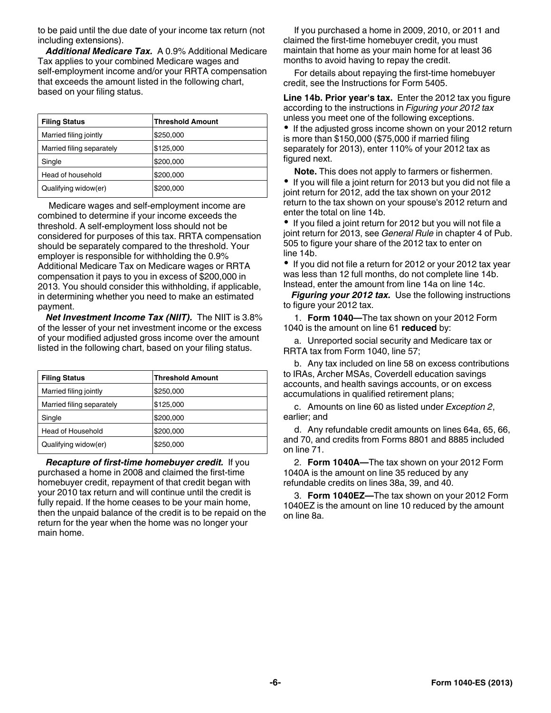to be paid until the due date of your income tax return (not including extensions).

*Additional Medicare Tax.* A 0.9% Additional Medicare Tax applies to your combined Medicare wages and self-employment income and/or your RRTA compensation that exceeds the amount listed in the following chart, based on your filing status.

| <b>Filing Status</b>      | <b>Threshold Amount</b> |
|---------------------------|-------------------------|
| Married filing jointly    | \$250,000               |
| Married filing separately | \$125,000               |
| Single                    | \$200,000               |
| Head of household         | \$200,000               |
| Qualifying widow(er)      | \$200,000               |

Medicare wages and self-employment income are combined to determine if your income exceeds the threshold. A self-employment loss should not be considered for purposes of this tax. RRTA compensation should be separately compared to the threshold. Your employer is responsible for withholding the 0.9% Additional Medicare Tax on Medicare wages or RRTA compensation it pays to you in excess of \$200,000 in 2013. You should consider this withholding, if applicable, in determining whether you need to make an estimated payment.

*Net Investment Income Tax (NIIT).* The NIIT is 3.8% of the lesser of your net investment income or the excess of your modified adjusted gross income over the amount listed in the following chart, based on your filing status.

| <b>Filing Status</b>      | Threshold Amount |
|---------------------------|------------------|
| Married filing jointly    | \$250,000        |
| Married filing separately | \$125,000        |
| Single                    | \$200,000        |
| Head of Household         | \$200,000        |
| Qualifying widow(er)      | \$250,000        |

*Recapture of first-time homebuyer credit.* If you purchased a home in 2008 and claimed the first-time homebuyer credit, repayment of that credit began with your 2010 tax return and will continue until the credit is fully repaid. If the home ceases to be your main home, then the unpaid balance of the credit is to be repaid on the return for the year when the home was no longer your main home.

If you purchased a home in 2009, 2010, or 2011 and claimed the first-time homebuyer credit, you must maintain that home as your main home for at least 36 months to avoid having to repay the credit.

For details about repaying the first-time homebuyer credit, see the Instructions for Form 5405.

**Line 14b. Prior year's tax.** Enter the 2012 tax you figure according to the instructions in *Figuring your 2012 tax*  unless you meet one of the following exceptions.

• If the adjusted gross income shown on your 2012 return is more than \$150,000 (\$75,000 if married filing separately for 2013), enter 110% of your 2012 tax as figured next.

**Note.** This does not apply to farmers or fishermen. If you will file a joint return for 2013 but you did not file a joint return for 2012, add the tax shown on your 2012 return to the tax shown on your spouse's 2012 return and enter the total on line 14b.

• If you filed a joint return for 2012 but you will not file a joint return for 2013, see *General Rule* in chapter 4 of Pub. 505 to figure your share of the 2012 tax to enter on line 14b.

• If you did not file a return for 2012 or your 2012 tax year was less than 12 full months, do not complete line 14b. Instead, enter the amount from line 14a on line 14c.

*Figuring your 2012 tax.* Use the following instructions to figure your 2012 tax.

1. **Form 1040—**The tax shown on your 2012 Form 1040 is the amount on line 61 **reduced** by:

a. Unreported social security and Medicare tax or RRTA tax from Form 1040, line 57;

b. Any tax included on line 58 on excess contributions to IRAs, Archer MSAs, Coverdell education savings accounts, and health savings accounts, or on excess accumulations in qualified retirement plans;

c. Amounts on line 60 as listed under *Exception 2*, earlier; and

d. Any refundable credit amounts on lines 64a, 65, 66, and 70, and credits from Forms 8801 and 8885 included on line 71.

2. **Form 1040A—**The tax shown on your 2012 Form 1040A is the amount on line 35 reduced by any refundable credits on lines 38a, 39, and 40.

3. **Form 1040EZ—**The tax shown on your 2012 Form 1040EZ is the amount on line 10 reduced by the amount on line 8a.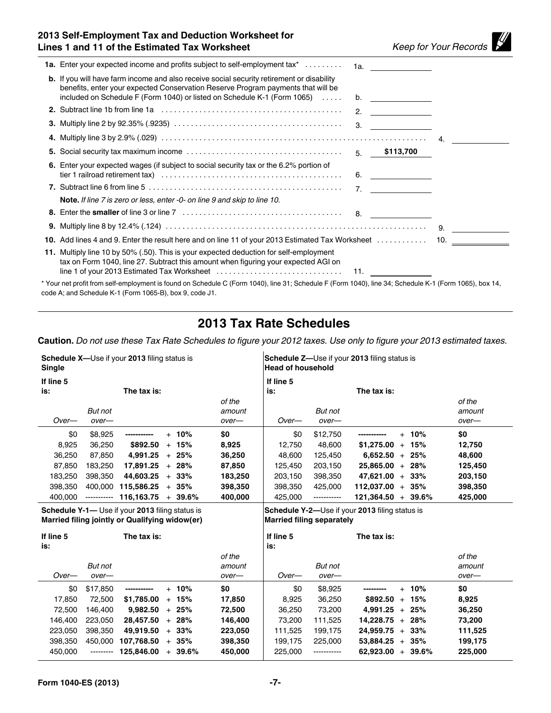## **2013 Self-Employment Tax and Deduction Worksheet for Lines 1 and 11 of the Estimated Tax Worksheet** *Keep for Your Records*

| <b>1a.</b> Enter your expected income and profits subject to self-employment tax <sup>*</sup>                                                                                                                                                                                                                                                                                                                         |     | 1a. ___________                                   |  |
|-----------------------------------------------------------------------------------------------------------------------------------------------------------------------------------------------------------------------------------------------------------------------------------------------------------------------------------------------------------------------------------------------------------------------|-----|---------------------------------------------------|--|
| <b>b.</b> If you will have farm income and also receive social security retirement or disability<br>benefits, enter your expected Conservation Reserve Program payments that will be<br>included on Schedule F (Form 1040) or listed on Schedule K-1 (Form 1065)                                                                                                                                                      |     | b. ______________                                 |  |
|                                                                                                                                                                                                                                                                                                                                                                                                                       | 2.  | $\frac{1}{2}$ and $\frac{1}{2}$ and $\frac{1}{2}$ |  |
|                                                                                                                                                                                                                                                                                                                                                                                                                       | -3. |                                                   |  |
|                                                                                                                                                                                                                                                                                                                                                                                                                       |     |                                                   |  |
| 5. Social security tax maximum income $\ldots \ldots \ldots \ldots \ldots \ldots \ldots \ldots \ldots \ldots$ 5. \$113,700                                                                                                                                                                                                                                                                                            |     |                                                   |  |
| 6. Enter your expected wages (if subject to social security tax or the 6.2% portion of                                                                                                                                                                                                                                                                                                                                | 6.  |                                                   |  |
|                                                                                                                                                                                                                                                                                                                                                                                                                       |     | 7. $\qquad \qquad$                                |  |
| <b>Note.</b> If line 7 is zero or less, enter -0- on line 9 and skip to line 10.                                                                                                                                                                                                                                                                                                                                      |     |                                                   |  |
|                                                                                                                                                                                                                                                                                                                                                                                                                       |     |                                                   |  |
|                                                                                                                                                                                                                                                                                                                                                                                                                       |     |                                                   |  |
|                                                                                                                                                                                                                                                                                                                                                                                                                       |     |                                                   |  |
| 11. Multiply line 10 by 50% (.50). This is your expected deduction for self-employment<br>tax on Form 1040, line 27. Subtract this amount when figuring your expected AGI on<br>line 1 of your 2013 Estimated Tax Worksheet (and accommodation control of 11.<br>Volument world from oalf ampleyment in found an Cabodule C (Ferm 1040). Jine 01: Cabodule F (Ferm 1040). Jine 04: Cabodule I/ 1 (Ferm 1005). box 14. |     |                                                   |  |

Your net profit from self-employment is found on Schedule C (Form 1040), line 31; Schedule F (Form 1040), line 34; Schedule K-1 (Form 1065), box 14, code A; and Schedule K-1 (Form 1065-B), box 9, code J1.

## **2013 Tax Rate Schedules**

**Caution.** *Do not use these Tax Rate Schedules to figure your 2012 taxes. Use only to figure your 2013 estimated taxes.*

| <b>Schedule X-</b> Use if your 2013 filing status is<br><b>Single</b> |             |                                                                                                   |  |          |         | <b>Head of household</b>         |             | <b>Schedule Z-Use if your 2013 filing status is</b>   |     |          |         |
|-----------------------------------------------------------------------|-------------|---------------------------------------------------------------------------------------------------|--|----------|---------|----------------------------------|-------------|-------------------------------------------------------|-----|----------|---------|
| If line 5                                                             |             |                                                                                                   |  |          |         | If line 5                        |             |                                                       |     |          |         |
| is:                                                                   |             | The tax is:                                                                                       |  |          |         | is:                              |             | The tax is:                                           |     |          |         |
|                                                                       |             |                                                                                                   |  |          | of the  |                                  |             |                                                       |     |          | of the  |
|                                                                       | But not     |                                                                                                   |  |          | amount  |                                  | But not     |                                                       |     |          | amount  |
| $Over-$                                                               | over-       |                                                                                                   |  |          | over-   | $Over-$                          | over-       |                                                       |     |          | over-   |
| \$0                                                                   | \$8,925     | -----------                                                                                       |  | $+ 10\%$ | \$0     | \$0                              | \$12,750    |                                                       |     | $+ 10\%$ | \$0     |
| 8,925                                                                 | 36,250      | \$892.50                                                                                          |  | $+ 15%$  | 8,925   | 12,750                           | 48,600      | $$1,275.00 + 15\%$                                    |     |          | 12,750  |
| 36,250                                                                | 87,850      | 4,991.25                                                                                          |  | $+25%$   | 36,250  | 48,600                           | 125,450     | $6,652.50 + 25%$                                      |     |          | 48,600  |
| 87,850                                                                | 183,250     | 17,891.25                                                                                         |  | $+28%$   | 87,850  | 125,450                          | 203,150     | $25,865.00 + 28%$                                     |     |          | 125,450 |
| 183,250                                                               | 398,350     | 44,603.25                                                                                         |  | $+33%$   | 183,250 | 203,150                          | 398,350     | $47,621.00 + 33\%$                                    |     |          | 203,150 |
| 398,350                                                               | 400.000     | 115,586.25                                                                                        |  | $+35%$   | 398,350 | 398,350                          | 425.000     | $112.037.00 + 35%$                                    |     |          | 398,350 |
| 400,000                                                               | ----------- | $116,163.75 + 39.6\%$                                                                             |  |          | 400,000 | 425,000                          | ----------- | $121,364.50 + 39.6\%$                                 |     |          | 425,000 |
|                                                                       |             |                                                                                                   |  |          |         |                                  |             |                                                       |     |          |         |
|                                                                       |             | Schedule Y-1- Use if your 2013 filing status is<br>Married filing jointly or Qualifying widow(er) |  |          |         | <b>Married filing separately</b> |             | <b>Schedule Y-2—Use if your 2013 filing status is</b> |     |          |         |
| If line 5                                                             |             | The tax is:                                                                                       |  |          |         | If line 5                        |             | The tax is:                                           |     |          |         |
| is:                                                                   |             |                                                                                                   |  |          |         | is:                              |             |                                                       |     |          |         |
|                                                                       |             |                                                                                                   |  |          | of the  |                                  |             |                                                       |     |          | of the  |
|                                                                       | But not     |                                                                                                   |  |          | amount  |                                  | But not     |                                                       |     |          | amount  |
| Over-                                                                 | over-       |                                                                                                   |  |          | over-   | Over-                            | over-       |                                                       |     |          | over-   |
| \$0                                                                   | \$17,850    |                                                                                                   |  | $+ 10\%$ | \$0     | \$0                              | \$8,925     |                                                       | $+$ | 10%      | \$0     |
| 17,850                                                                | 72,500      | \$1,785.00                                                                                        |  | $+ 15%$  | 17,850  | 8,925                            | 36,250      | \$892.50                                              |     | $+ 15%$  | 8,925   |
| 72,500                                                                | 146,400     | 9.982.50                                                                                          |  | $+25%$   | 72,500  | 36,250                           | 73,200      | $4,991.25 + 25\%$                                     |     |          | 36,250  |
| 146,400                                                               | 223,050     | 28.457.50                                                                                         |  | $+28%$   | 146,400 | 73.200                           | 111,525     | $14.228.75 + 28%$                                     |     |          | 73,200  |
| 223,050                                                               | 398,350     | 49,919.50                                                                                         |  | $+33%$   | 223,050 | 111,525                          | 199,175     | $24,959.75 + 33\%$                                    |     |          | 111,525 |
| 398,350                                                               | 450.000     | 107,768.50                                                                                        |  | $+35%$   | 398,350 | 199,175                          | 225.000     | $53,884.25 + 35\%$                                    |     |          | 199,175 |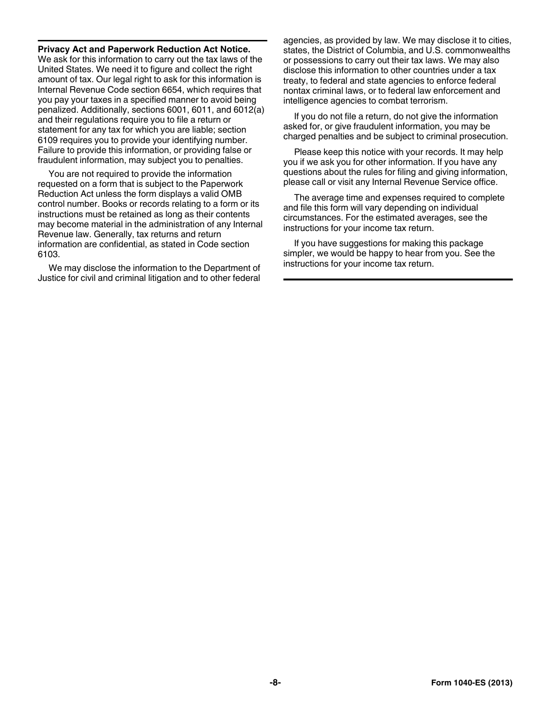#### **Privacy Act and Paperwork Reduction Act Notice.**

We ask for this information to carry out the tax laws of the United States. We need it to figure and collect the right amount of tax. Our legal right to ask for this information is Internal Revenue Code section 6654, which requires that you pay your taxes in a specified manner to avoid being penalized. Additionally, sections 6001, 6011, and 6012(a) and their regulations require you to file a return or statement for any tax for which you are liable; section 6109 requires you to provide your identifying number. Failure to provide this information, or providing false or fraudulent information, may subject you to penalties.

You are not required to provide the information requested on a form that is subject to the Paperwork Reduction Act unless the form displays a valid OMB control number. Books or records relating to a form or its instructions must be retained as long as their contents may become material in the administration of any Internal Revenue law. Generally, tax returns and return information are confidential, as stated in Code section 6103.

We may disclose the information to the Department of Justice for civil and criminal litigation and to other federal agencies, as provided by law. We may disclose it to cities, states, the District of Columbia, and U.S. commonwealths or possessions to carry out their tax laws. We may also disclose this information to other countries under a tax treaty, to federal and state agencies to enforce federal nontax criminal laws, or to federal law enforcement and intelligence agencies to combat terrorism.

If you do not file a return, do not give the information asked for, or give fraudulent information, you may be charged penalties and be subject to criminal prosecution.

Please keep this notice with your records. It may help you if we ask you for other information. If you have any questions about the rules for filing and giving information, please call or visit any Internal Revenue Service office.

The average time and expenses required to complete and file this form will vary depending on individual circumstances. For the estimated averages, see the instructions for your income tax return.

If you have suggestions for making this package simpler, we would be happy to hear from you. See the instructions for your income tax return.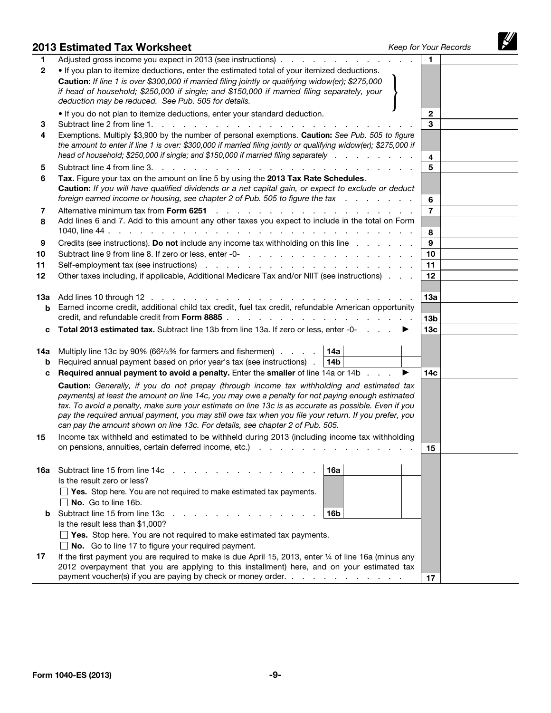|               | 2013 Estimated Tax Worksheet                                                                                                                                                                                                                                                                                                                                                                                                                                                                    |   | Keep for Your Records |  |
|---------------|-------------------------------------------------------------------------------------------------------------------------------------------------------------------------------------------------------------------------------------------------------------------------------------------------------------------------------------------------------------------------------------------------------------------------------------------------------------------------------------------------|---|-----------------------|--|
| 1             | Adjusted gross income you expect in 2013 (see instructions)                                                                                                                                                                                                                                                                                                                                                                                                                                     |   | 1.                    |  |
| $\mathbf{2}$  | . If you plan to itemize deductions, enter the estimated total of your itemized deductions.                                                                                                                                                                                                                                                                                                                                                                                                     |   |                       |  |
|               | Caution: If line 1 is over \$300,000 if married filing jointly or qualifying widow(er); \$275,000<br>if head of household; \$250,000 if single; and \$150,000 if married filing separately, your<br>deduction may be reduced. See Pub. 505 for details.                                                                                                                                                                                                                                         |   |                       |  |
| 3             | . If you do not plan to itemize deductions, enter your standard deduction.<br>Subtract line 2 from line 1.<br><b>Service</b>                                                                                                                                                                                                                                                                                                                                                                    |   | $\mathbf{2}$<br>3     |  |
| 4             | Exemptions. Multiply \$3,900 by the number of personal exemptions. Caution: See Pub. 505 to figure<br>the amount to enter if line 1 is over: \$300,000 if married filing jointly or qualifying widow(er); \$275,000 if                                                                                                                                                                                                                                                                          |   |                       |  |
| 5             | head of household; \$250,000 if single; and \$150,000 if married filing separately encoded by entertainment of h<br>Subtract line 4 from line 3.<br>and a state of the state of the state of                                                                                                                                                                                                                                                                                                    |   | $\overline{4}$<br>5   |  |
| 6             | Tax. Figure your tax on the amount on line 5 by using the 2013 Tax Rate Schedules.<br>Caution: If you will have qualified dividends or a net capital gain, or expect to exclude or deduct<br>foreign earned income or housing, see chapter 2 of Pub. 505 to figure the tax                                                                                                                                                                                                                      |   | 6                     |  |
| 7             | Alternative minimum tax from Form 6251<br><u>.</u><br>the contract of the contract of the                                                                                                                                                                                                                                                                                                                                                                                                       |   | $\overline{7}$        |  |
| 8             | Add lines 6 and 7. Add to this amount any other taxes you expect to include in the total on Form                                                                                                                                                                                                                                                                                                                                                                                                |   | 8                     |  |
| 9             | Credits (see instructions). Do not include any income tax withholding on this line                                                                                                                                                                                                                                                                                                                                                                                                              |   | 9                     |  |
| 10            |                                                                                                                                                                                                                                                                                                                                                                                                                                                                                                 |   | 10                    |  |
| 11            | Self-employment tax (see instructions) enterstanding to the contract of the self-employment tax (see instructions) enterstanding to the contract of the set of the set of the set of the set of the set of the set of the set                                                                                                                                                                                                                                                                   |   | 11                    |  |
| 12            | Other taxes including, if applicable, Additional Medicare Tax and/or NIIT (see instructions)                                                                                                                                                                                                                                                                                                                                                                                                    |   | 12                    |  |
| 1За<br>b      | Add lines 10 through 12<br>Earned income credit, additional child tax credit, fuel tax credit, refundable American opportunity<br>credit, and refundable credit from Form 8885.<br>and the state of the state of                                                                                                                                                                                                                                                                                |   | 13а<br>13b            |  |
| c             | Total 2013 estimated tax. Subtract line 13b from line 13a. If zero or less, enter -0-                                                                                                                                                                                                                                                                                                                                                                                                           |   | 13 <sub>c</sub>       |  |
| 14a<br>b<br>с | Multiply line 13c by 90% (66 $\frac{2}{3}$ % for farmers and fishermen) $\ldots$ 14a<br>Required annual payment based on prior year's tax (see instructions).<br>14b<br><b>Required annual payment to avoid a penalty.</b> Enter the smaller of line 14a or 14b                                                                                                                                                                                                                                 | ▶ | 14с                   |  |
|               | Caution: Generally, if you do not prepay (through income tax withholding and estimated tax<br>payments) at least the amount on line 14c, you may owe a penalty for not paying enough estimated<br>tax. To avoid a penalty, make sure your estimate on line 13c is as accurate as possible. Even if you<br>pay the required annual payment, you may still owe tax when you file your return. If you prefer, you<br>can pay the amount shown on line 13c. For details, see chapter 2 of Pub. 505. |   |                       |  |
| 15            | Income tax withheld and estimated to be withheld during 2013 (including income tax withholding<br>on pensions, annuities, certain deferred income, etc.)                                                                                                                                                                                                                                                                                                                                        |   | 15                    |  |
| 16а           | Subtract line 15 from line 14c<br>16a<br>Is the result zero or less?<br>$\Box$ Yes. Stop here. You are not required to make estimated tax payments.<br>$\Box$ No. Go to line 16b.                                                                                                                                                                                                                                                                                                               |   |                       |  |
| b             | Subtract line 15 from line 13c<br>16b<br>Is the result less than \$1,000?                                                                                                                                                                                                                                                                                                                                                                                                                       |   |                       |  |
| 17            | $\Box$ Yes. Stop here. You are not required to make estimated tax payments.<br>$\Box$ No. Go to line 17 to figure your required payment.<br>If the first payment you are required to make is due April 15, 2013, enter 1/4 of line 16a (minus any<br>2012 overpayment that you are applying to this installment) here, and on your estimated tax                                                                                                                                                |   |                       |  |
|               | payment voucher(s) if you are paying by check or money order.                                                                                                                                                                                                                                                                                                                                                                                                                                   |   | 17                    |  |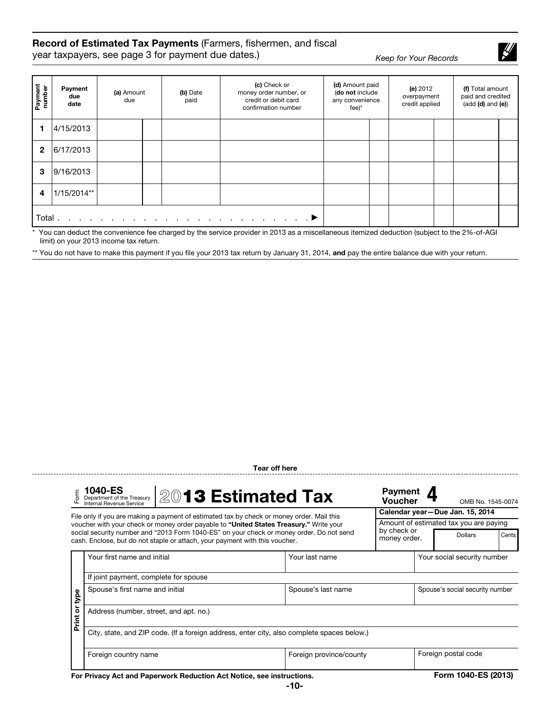#### Record of Estimated Tax Payments (Farmers, fishermen, and fiscal

year taxpayers, see page 3 for payment due dates.) *Keep for Your Records*

 $\frac{1}{2}$ 

| Payment<br>number | Payment<br>due<br>date | (a) Amount<br>due | (b) Date<br>paid | (c) Check or<br>money order number, or<br>credit or debit card<br>confirmation number                           | (d) Amount paid<br>(do not include<br>any convenience<br>$fee$ <sup>*</sup> | (e) 2012<br>overpayment<br>credit applied | (f) Total amount<br>paid and credited<br>$(add (d) and (e))$ |  |
|-------------------|------------------------|-------------------|------------------|-----------------------------------------------------------------------------------------------------------------|-----------------------------------------------------------------------------|-------------------------------------------|--------------------------------------------------------------|--|
|                   | 4/15/2013              |                   |                  |                                                                                                                 |                                                                             |                                           |                                                              |  |
| $\mathbf{2}$      | 6/17/2013              |                   |                  |                                                                                                                 |                                                                             |                                           |                                                              |  |
| 3                 | 9/16/2013              |                   |                  |                                                                                                                 |                                                                             |                                           |                                                              |  |
| 4                 | 1/15/2014**            |                   |                  |                                                                                                                 |                                                                             |                                           |                                                              |  |
| Total             |                        |                   |                  | the contract of the contract of the contract of the contract of the contract of the contract of the contract of |                                                                             |                                           |                                                              |  |

\* You can deduct the convenience fee charged by the service provider in 2013 as a miscellaneous itemized deduction (subject to the 2%-of-AGI limit) on your 2013 income tax return.

\*\* You do not have to make this payment if you file your 2013 tax return by January 31, 2014, and pay the entire balance due with your return.

Tear off here

|               | 1040-ES<br>2013 Estimated Tax<br>Department of the Treasury<br>Internal Revenue Service                                                                                 |                         | <b>Payment</b><br><b>Voucher</b> |  | OMB No. 1545-0074                      |       |  |  |
|---------------|-------------------------------------------------------------------------------------------------------------------------------------------------------------------------|-------------------------|----------------------------------|--|----------------------------------------|-------|--|--|
|               | File only if you are making a payment of estimated tax by check or money order. Mail this                                                                               |                         |                                  |  | Calendar year-Due Jan. 15, 2014        |       |  |  |
|               | voucher with your check or money order payable to "United States Treasury." Write your                                                                                  |                         |                                  |  | Amount of estimated tax you are paying |       |  |  |
|               | social security number and "2013 Form 1040-ES" on your check or money order. Do not send<br>cash. Enclose, but do not staple or attach, your payment with this voucher. |                         | by check or<br>money order.      |  | <b>Dollars</b>                         | Cents |  |  |
|               | Your first name and initial                                                                                                                                             | Your last name          |                                  |  | Your social security number            |       |  |  |
|               | If joint payment, complete for spouse                                                                                                                                   |                         |                                  |  |                                        |       |  |  |
|               | Spouse's first name and initial                                                                                                                                         | Spouse's last name      |                                  |  | Spouse's social security number        |       |  |  |
| Print or type | Address (number, street, and apt. no.)                                                                                                                                  |                         |                                  |  |                                        |       |  |  |
|               | City, state, and ZIP code. (If a foreign address, enter city, also complete spaces below.)                                                                              |                         |                                  |  |                                        |       |  |  |
|               | Foreign country name                                                                                                                                                    | Foreign province/county |                                  |  | Foreign postal code                    |       |  |  |
|               |                                                                                                                                                                         |                         |                                  |  |                                        |       |  |  |

For Privacy Act and Paperwork Reduction Act Notice, see instructions. Form 1040-ES (2013)